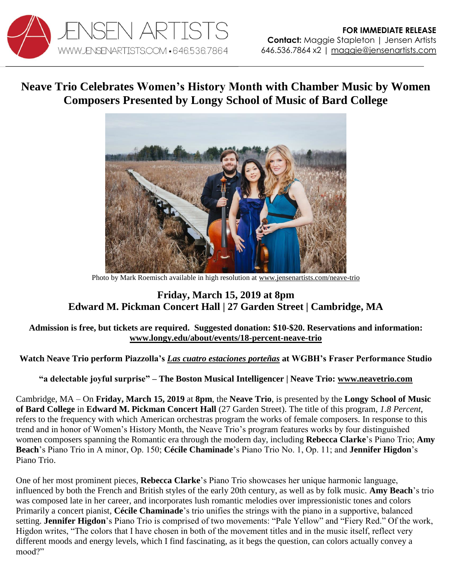

# **Neave Trio Celebrates Women's History Month with Chamber Music by Women Composers Presented by Longy School of Music of Bard College**



Photo by Mark Roemisch available in high resolution at [www.jensenartists.com/neave-trio](http://www.jensenartists.com/neave-trio)

## **Friday, March 15, 2019 at 8pm Edward M. Pickman Concert Hall | 27 Garden Street | Cambridge, MA**

### **Admission is free, but tickets are required. Suggested donation: \$10-\$20. Reservations and information: [www.longy.edu/about/events/18-percent-neave-trio](http://www.longy.edu/about/events/18-percent-neave-trio)**

### **Watch Neave Trio perform Piazzolla's** *[Las cuatro estaciones porteñas](https://youtu.be/Xs3a6h4OV-E)* **at WGBH's Fraser Performance Studio**

**"a delectable joyful surprise" – The Boston Musical Intelligencer | Neave Trio: [www.neavetrio.com](http://www.neavetrio.com/)**

Cambridge, MA – On **Friday, March 15, 2019** at **8pm**, the **Neave Trio**, is presented by the **Longy School of Music of Bard College** in **Edward M. Pickman Concert Hall** (27 Garden Street). The title of this program, *1.8 Percent*, refers to the frequency with which American orchestras program the works of female composers. In response to this trend and in honor of Women's History Month, the Neave Trio's program features works by four distinguished women composers spanning the Romantic era through the modern day, including **Rebecca Clarke**'s Piano Trio; **Amy Beach**'s Piano Trio in A minor, Op. 150; **Cécile Chaminade**'s Piano Trio No. 1, Op. 11; and **Jennifer Higdon**'s Piano Trio.

One of her most prominent pieces, **Rebecca Clarke**'s Piano Trio showcases her unique harmonic language, influenced by both the French and British styles of the early 20th century, as well as by folk music. **Amy Beach**'s trio was composed late in her career, and incorporates lush romantic melodies over impressionistic tones and colors Primarily a concert pianist, **Cécile Chaminade**'s trio unifies the strings with the piano in a supportive, balanced setting. **Jennifer Higdon**'s Piano Trio is comprised of two movements: "Pale Yellow" and "Fiery Red." Of the work, Higdon writes, "The colors that I have chosen in both of the movement titles and in the music itself, reflect very different moods and energy levels, which I find fascinating, as it begs the question, can colors actually convey a mood?"